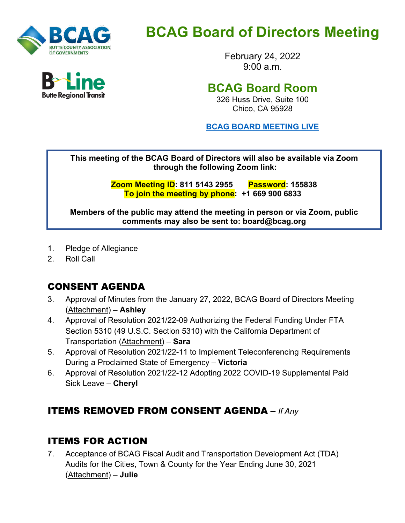

# **BCAG Board of Directors Meeting**

February 24, 2022  $9.00 a m$ 

## **BCAG Board Room**

326 Huss Drive, Suite 100 Chico, CA 95928

**BCAG BOARD [MEETING LIVE](https://us02web.zoom.us/j/81151432955?pwd=aWFHV0lLbG5SejhKdEJPZG9LSy96dz09)**

**This meeting of the BCAG Board of Directors will also be available via Zoom through the following Zoom link:** 

> **Zoom Meeting ID: 811 5143 2955 Password: 155838 To join the meeting by phone: +1 669 900 6833**

**Members of the public may attend the meeting in person or via Zoom, public comments may also be sent to: board@bcag.org**

- 1. Pledge of Allegiance
- 2. Roll Call

## CONSENT AGENDA

- 3. Approval of Minutes from the January 27, 2022, BCAG Board of Directors Meeting (Attachment) – **Ashley**
- 4. Approval of Resolution 2021/22-09 Authorizing the Federal Funding Under FTA Section 5310 (49 U.S.C. Section 5310) with the California Department of Transportation (Attachment) – **Sara**
- 5. Approval of Resolution 2021/22-11 to Implement Teleconferencing Requirements During a Proclaimed State of Emergency – **Victoria**
- 6. Approval of Resolution 2021/22-12 Adopting 2022 COVID-19 Supplemental Paid Sick Leave – **Cheryl**

### ITEMS REMOVED FROM CONSENT AGENDA **–** *If Any*

### ITEMS FOR ACTION

7. Acceptance of BCAG Fiscal Audit and Transportation Development Act (TDA) Audits for the Cities, Town & County for the Year Ending June 30, 2021 (Attachment) – **Julie**